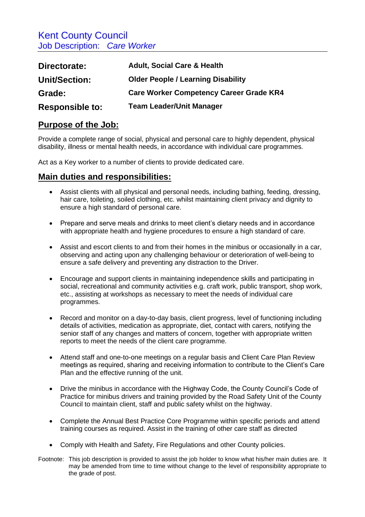Kent County Council Job Description: *Care Worker*

| Directorate:           | <b>Adult, Social Care &amp; Health</b>         |
|------------------------|------------------------------------------------|
| <b>Unit/Section:</b>   | <b>Older People / Learning Disability</b>      |
| Grade:                 | <b>Care Worker Competency Career Grade KR4</b> |
| <b>Responsible to:</b> | <b>Team Leader/Unit Manager</b>                |

## **Purpose of the Job:**

Provide a complete range of social, physical and personal care to highly dependent, physical disability, illness or mental health needs, in accordance with individual care programmes.

Act as a Key worker to a number of clients to provide dedicated care.

## **Main duties and responsibilities:**

- Assist clients with all physical and personal needs, including bathing, feeding, dressing, hair care, toileting, soiled clothing, etc. whilst maintaining client privacy and dignity to ensure a high standard of personal care.
- Prepare and serve meals and drinks to meet client's dietary needs and in accordance with appropriate health and hygiene procedures to ensure a high standard of care.
- Assist and escort clients to and from their homes in the minibus or occasionally in a car, observing and acting upon any challenging behaviour or deterioration of well-being to ensure a safe delivery and preventing any distraction to the Driver.
- Encourage and support clients in maintaining independence skills and participating in social, recreational and community activities e.g. craft work, public transport, shop work, etc., assisting at workshops as necessary to meet the needs of individual care programmes.
- Record and monitor on a day-to-day basis, client progress, level of functioning including details of activities, medication as appropriate, diet, contact with carers, notifying the senior staff of any changes and matters of concern, together with appropriate written reports to meet the needs of the client care programme.
- Attend staff and one-to-one meetings on a regular basis and Client Care Plan Review meetings as required, sharing and receiving information to contribute to the Client's Care Plan and the effective running of the unit.
- Drive the minibus in accordance with the Highway Code, the County Council's Code of Practice for minibus drivers and training provided by the Road Safety Unit of the County Council to maintain client, staff and public safety whilst on the highway.
- Complete the Annual Best Practice Core Programme within specific periods and attend training courses as required. Assist in the training of other care staff as directed
- Comply with Health and Safety, Fire Regulations and other County policies.
- Footnote: This job description is provided to assist the job holder to know what his/her main duties are. It may be amended from time to time without change to the level of responsibility appropriate to the grade of post.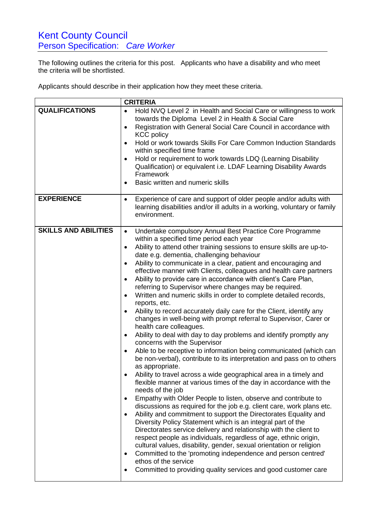The following outlines the criteria for this post. Applicants who have a disability and who meet the criteria will be shortlisted.

Applicants should describe in their application how they meet these criteria.

|                             | <b>CRITERIA</b>                                                                                                                                                                                                                                                                                                                                                                                                                                                                                                                                                                                                                                                                                                                                                                                                                                                                                                                                                                                                                                                                                                                                                                                                                                                                                                                                                                                                                                                                                                                                                                                                                                                                                                                                                                                                                                                                                                                                                                               |
|-----------------------------|-----------------------------------------------------------------------------------------------------------------------------------------------------------------------------------------------------------------------------------------------------------------------------------------------------------------------------------------------------------------------------------------------------------------------------------------------------------------------------------------------------------------------------------------------------------------------------------------------------------------------------------------------------------------------------------------------------------------------------------------------------------------------------------------------------------------------------------------------------------------------------------------------------------------------------------------------------------------------------------------------------------------------------------------------------------------------------------------------------------------------------------------------------------------------------------------------------------------------------------------------------------------------------------------------------------------------------------------------------------------------------------------------------------------------------------------------------------------------------------------------------------------------------------------------------------------------------------------------------------------------------------------------------------------------------------------------------------------------------------------------------------------------------------------------------------------------------------------------------------------------------------------------------------------------------------------------------------------------------------------------|
| <b>QUALIFICATIONS</b>       | Hold NVQ Level 2 in Health and Social Care or willingness to work<br>$\bullet$<br>towards the Diploma Level 2 in Health & Social Care<br>Registration with General Social Care Council in accordance with<br>$\bullet$<br><b>KCC policy</b><br>Hold or work towards Skills For Care Common Induction Standards<br>$\bullet$<br>within specified time frame<br>Hold or requirement to work towards LDQ (Learning Disability<br>$\bullet$<br>Qualification) or equivalent i.e. LDAF Learning Disability Awards<br>Framework<br>Basic written and numeric skills<br>$\bullet$                                                                                                                                                                                                                                                                                                                                                                                                                                                                                                                                                                                                                                                                                                                                                                                                                                                                                                                                                                                                                                                                                                                                                                                                                                                                                                                                                                                                                    |
| <b>EXPERIENCE</b>           | Experience of care and support of older people and/or adults with<br>$\bullet$<br>learning disabilities and/or ill adults in a working, voluntary or family<br>environment.                                                                                                                                                                                                                                                                                                                                                                                                                                                                                                                                                                                                                                                                                                                                                                                                                                                                                                                                                                                                                                                                                                                                                                                                                                                                                                                                                                                                                                                                                                                                                                                                                                                                                                                                                                                                                   |
| <b>SKILLS AND ABILITIES</b> | Undertake compulsory Annual Best Practice Core Programme<br>$\bullet$<br>within a specified time period each year<br>Ability to attend other training sessions to ensure skills are up-to-<br>$\bullet$<br>date e.g. dementia, challenging behaviour<br>Ability to communicate in a clear, patient and encouraging and<br>$\bullet$<br>effective manner with Clients, colleagues and health care partners<br>Ability to provide care in accordance with client's Care Plan,<br>$\bullet$<br>referring to Supervisor where changes may be required.<br>Written and numeric skills in order to complete detailed records,<br>$\bullet$<br>reports, etc.<br>Ability to record accurately daily care for the Client, identify any<br>changes in well-being with prompt referral to Supervisor, Carer or<br>health care colleagues.<br>Ability to deal with day to day problems and identify promptly any<br>$\bullet$<br>concerns with the Supervisor<br>Able to be receptive to information being communicated (which can<br>$\bullet$<br>be non-verbal), contribute to its interpretation and pass on to others<br>as appropriate.<br>Ability to travel across a wide geographical area in a timely and<br>flexible manner at various times of the day in accordance with the<br>needs of the job<br>Empathy with Older People to listen, observe and contribute to<br>$\bullet$<br>discussions as required for the job e.g. client care, work plans etc.<br>Ability and commitment to support the Directorates Equality and<br>$\bullet$<br>Diversity Policy Statement which is an integral part of the<br>Directorates service delivery and relationship with the client to<br>respect people as individuals, regardless of age, ethnic origin,<br>cultural values, disability, gender, sexual orientation or religion<br>Committed to the 'promoting independence and person centred'<br>$\bullet$<br>ethos of the service<br>Committed to providing quality services and good customer care |